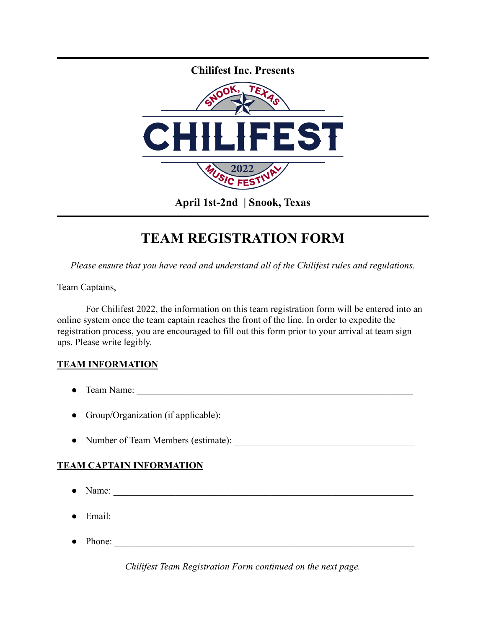

## **TEAM REGISTRATION FORM**

*Please ensure that you have read and understand all of the Chilifest rules and regulations.*

Team Captains,

For Chilifest 2022, the information on this team registration form will be entered into an online system once the team captain reaches the front of the line. In order to expedite the registration process, you are encouraged to fill out this form prior to your arrival at team sign ups. Please write legibly.

## **TEAM INFORMATION**

- Team Name:
- Group/Organization (if applicable):
- Number of Team Members (estimate): \_\_\_\_\_\_\_\_\_\_\_\_\_\_\_\_\_\_\_\_\_\_\_\_\_\_\_\_\_\_\_\_\_\_\_\_\_\_

## **TEAM CAPTAIN INFORMATION**

- $\bullet$  Name:
- Email: \_\_\_\_\_\_\_\_\_\_\_\_\_\_\_\_\_\_\_\_\_\_\_\_\_\_\_\_\_\_\_\_\_\_\_\_\_\_\_\_\_\_\_\_\_\_\_\_\_\_\_\_\_\_\_\_\_\_\_\_\_\_\_
- $\bullet$  Phone:

*Chilifest Team Registration Form continued on the next page.*